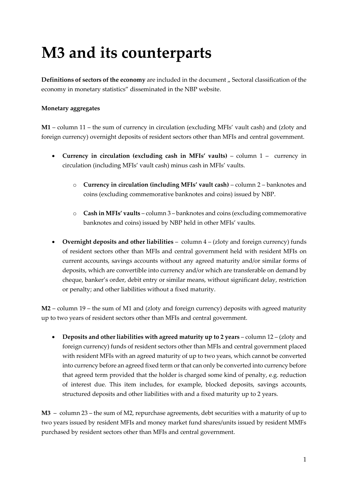## **M3 and its counterparts**

**Definitions of sectors of the economy** are included in the document ,, Sectoral classification of the economy in monetary statistics" disseminated in the NBP website.

## **Monetary aggregates**

**M1** – column 11 – the sum of currency in circulation (excluding MFIs' vault cash) and (zloty and foreign currency) overnight deposits of resident sectors other than MFIs and central government.

- **Currency in circulation (excluding cash in MFIs' vaults)** column 1 currency in circulation (including MFIs' vault cash) minus cash in MFIs' vaults.
	- o **Currency in circulation (including MFIs' vault cash)** column 2 banknotes and coins (excluding commemorative banknotes and coins) issued by NBP.
	- o **Cash in MFIs' vaults**  column 3 banknotes and coins (excluding commemorative banknotes and coins) issued by NBP held in other MFIs' vaults.
- **Overnight deposits and other liabilities**  column 4 (zloty and foreign currency) funds of resident sectors other than MFIs and central government held with resident MFIs on current accounts, savings accounts without any agreed maturity and/or similar forms of deposits, which are convertible into currency and/or which are transferable on demand by cheque, banker's order, debit entry or similar means, without significant delay, restriction or penalty; and other liabilities without a fixed maturity.

**M2** – column 19 – the sum of M1 and (zloty and foreign currency) deposits with agreed maturity up to two years of resident sectors other than MFIs and central government.

• **Deposits and other liabilities with agreed maturity up to 2 years** – column 12 – (zloty and foreign currency) funds of resident sectors other than MFIs and central government placed with resident MFIs with an agreed maturity of up to two years, which cannot be converted into currency before an agreed fixed term or that can only be converted into currency before that agreed term provided that the holder is charged some kind of penalty, e.g. reduction of interest due. This item includes, for example, blocked deposits, savings accounts, structured deposits and other liabilities with and a fixed maturity up to 2 years.

**M3** – column 23 – the sum of M2, repurchase agreements, debt securities with a maturity of up to two years issued by resident MFIs and money market fund shares/units issued by resident MMFs purchased by resident sectors other than MFIs and central government.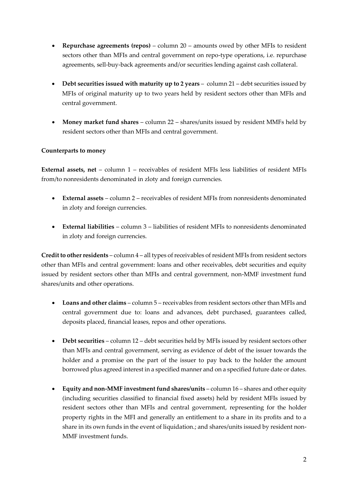- **Repurchase agreements (repos)** column 20 amounts owed by other MFIs to resident sectors other than MFIs and central government on repo-type operations, i.e. repurchase agreements, sell-buy-back agreements and/or securities lending against cash collateral.
- Debt securities issued with maturity up to 2 years column 21 debt securities issued by MFIs of original maturity up to two years held by resident sectors other than MFIs and central government.
- Money market fund shares column 22 shares/units issued by resident MMFs held by resident sectors other than MFIs and central government.

## **Counterparts to money**

**External assets, net** – column 1 – receivables of resident MFIs less liabilities of resident MFIs from/to nonresidents denominated in zloty and foreign currencies.

- **External assets**  column 2 receivables of resident MFIs from nonresidents denominated in zloty and foreign currencies.
- **External liabilities**  column 3 liabilities of resident MFIs to nonresidents denominated in zloty and foreign currencies.

**Credit to other residents** – column 4 – all types of receivables of resident MFIs from resident sectors other than MFIs and central government: loans and other receivables, debt securities and equity issued by resident sectors other than MFIs and central government, non-MMF investment fund shares/units and other operations.

- **Loans and other claims** column 5 receivables from resident sectors other than MFIs and central government due to: loans and advances, debt purchased, guarantees called, deposits placed, financial leases, repos and other operations.
- **Debt securities**  column 12 debt securities held by MFIs issued by resident sectors other than MFIs and central government, serving as evidence of debt of the issuer towards the holder and a promise on the part of the issuer to pay back to the holder the amount borrowed plus agreed interest in a specified manner and on a specified future date or dates.
- **Equity and non-MMF investment fund shares/units**  column 16 shares and other equity (including securities classified to financial fixed assets) held by resident MFIs issued by resident sectors other than MFIs and central government, representing for the holder property rights in the MFI and generally an entitlement to a share in its profits and to a share in its own funds in the event of liquidation.; and shares/units issued by resident non-MMF investment funds.